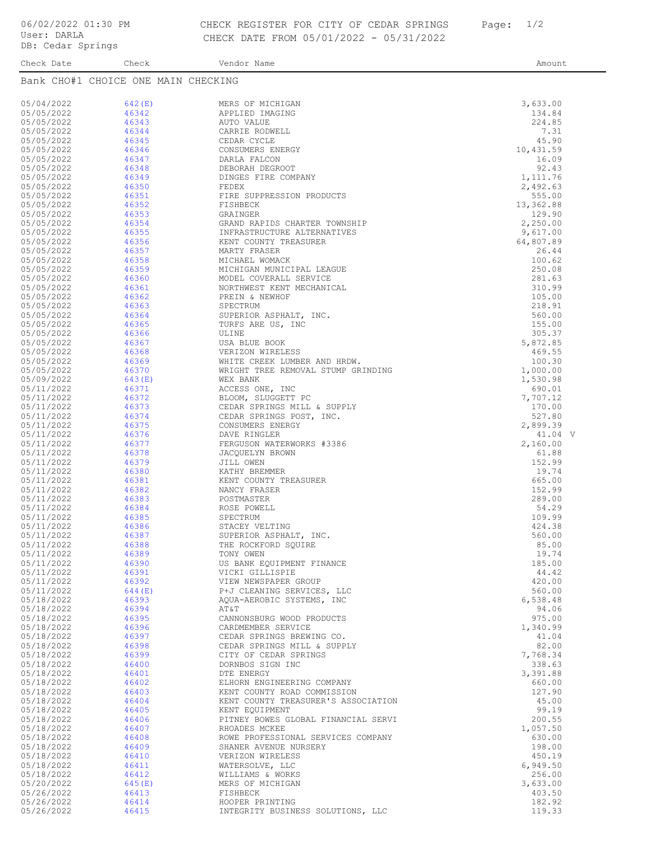## CHECK REGISTER FOR CITY OF CEDAR SPRINGS Page: 1/2 CHECK DATE FROM 05/01/2022 - 05/31/2022

Check Date Check Check Vendor Name Check Check Vendor Name Amount Bank CHO#1 CHOICE ONE MAIN CHECKING

| 05/04/2022               | 642(E)           | MERS OF MICHIGAN                                                   | 3,633.00             |
|--------------------------|------------------|--------------------------------------------------------------------|----------------------|
| 05/05/2022               | 46342            | APPLIED IMAGING                                                    | 134.84               |
| 05/05/2022<br>05/05/2022 | 46343<br>46344   | AUTO VALUE                                                         | 224.85<br>7.31       |
| 05/05/2022               | 46345            | CARRIE RODWELL<br>CEDAR CYCLE                                      | 45.90                |
| 05/05/2022               | 46346            | CONSUMERS ENERGY                                                   | 10,431.59            |
| 05/05/2022               | 46347            | DARLA FALCON                                                       | 16.09                |
| 05/05/2022               | 46348            | DEBORAH DEGROOT                                                    | 92.43                |
| 05/05/2022<br>05/05/2022 | 46349<br>46350   | DINGES FIRE COMPANY<br>FEDEX                                       | 1,111.76<br>2,492.63 |
| 05/05/2022               | 46351            | FIRE SUPPRESSION PRODUCTS                                          | 555.00               |
| 05/05/2022               | 46352            | FISHBECK                                                           | 13,362.88            |
| 05/05/2022<br>05/05/2022 | 46353<br>46354   | GRAINGER<br>GRAND RAPIDS CHARTER TOWNSHIP                          | 129.90<br>2,250.00   |
| 05/05/2022               | 46355            | INFRASTRUCTURE ALTERNATIVES                                        | 9,617.00             |
| 05/05/2022               | 46356            | KENT COUNTY TREASURER                                              | 64,807.89            |
| 05/05/2022               | 46357            | MARTY FRASER                                                       | 26.44                |
| 05/05/2022<br>05/05/2022 | 46358<br>46359   | MICHAEL WOMACK<br>MICHIGAN MUNICIPAL LEAGUE                        | 100.62<br>250.08     |
| 05/05/2022               | 46360            | MODEL COVERALL SERVICE                                             | 281.63               |
| 05/05/2022               | 46361            | NORTHWEST KENT MECHANICAL                                          | 310.99               |
| 05/05/2022               | 46362            | PREIN & NEWHOF                                                     | 105.00               |
| 05/05/2022<br>05/05/2022 | 46363<br>46364   | SPECTRUM<br>SUPERIOR ASPHALT, INC.                                 | 218.91<br>560.00     |
| 05/05/2022               | 46365            | TURFS ARE US, INC                                                  | 155.00               |
| 05/05/2022               | 46366            | ULINE                                                              | 305.37               |
| 05/05/2022               | 46367            | USA BLUE BOOK                                                      | 5,872.85             |
| 05/05/2022<br>05/05/2022 | 46368<br>46369   | VERIZON WIRELESS                                                   | 469.55<br>100.30     |
| 05/05/2022               | 46370            | WHITE CREEK LUMBER AND HRDW.<br>WRIGHT TREE REMOVAL STUMP GRINDING | 1,000.00             |
| 05/09/2022               | 643(E)           | WEX BANK                                                           | 1,530.98             |
| 05/11/2022               | 46371            | ACCESS ONE, INC                                                    | 690.01               |
| 05/11/2022               | 46372            | BLOOM, SLUGGETT PC                                                 | 7,707.12             |
| 05/11/2022<br>05/11/2022 | 46373<br>46374   | CEDAR SPRINGS MILL & SUPPLY<br>CEDAR SPRINGS POST, INC.            | 170.00<br>527.80     |
| 05/11/2022               | 46375            | CONSUMERS ENERGY                                                   | 2,899.39             |
| 05/11/2022               | 46376            | DAVE RINGLER                                                       | 41.04 V              |
| 05/11/2022               | 46377            | FERGUSON WATERWORKS #3386                                          | 2,160.00             |
| 05/11/2022<br>05/11/2022 | 46378<br>46379   | JACQUELYN BROWN<br>JILL OWEN                                       | 61.88<br>152.99      |
| 05/11/2022               | 46380            | KATHY BREMMER                                                      | 19.74                |
| 05/11/2022               | 46381            | KENT COUNTY TREASURER                                              | 665.00               |
| 05/11/2022<br>05/11/2022 | 46382<br>46383   | NANCY FRASER<br>POSTMASTER                                         | 152.99<br>289.00     |
| 05/11/2022               | 46384            | ROSE POWELL                                                        | 54.29                |
| 05/11/2022               | 46385            | SPECTRUM                                                           | 109.99               |
| 05/11/2022               | 46386            | STACEY VELTING                                                     | 424.38               |
| 05/11/2022<br>05/11/2022 | 46387<br>46388   | SUPERIOR ASPHALT, INC.<br>THE ROCKFORD SQUIRE                      | 560.00<br>85.00      |
| 05/11/2022               | 46389            | TONY OWEN                                                          | 19.74                |
| 05/11/2022               | 46390            | US BANK EQUIPMENT FINANCE                                          | 185.00               |
| 05/11/2022               | 46391            | AICKT GITTISBIE                                                    | 44.42                |
| 05/11/2022<br>05/11/2022 | 46392<br>644 (E) | VIEW NEWSPAPER GROUP<br>P+J CLEANING SERVICES, LLC                 | 420.00<br>560.00     |
| 05/18/2022               | 46393            | AQUA-AEROBIC SYSTEMS, INC                                          | 6,538.48             |
| 05/18/2022               | 46394            | AT&T                                                               | 94.06                |
| 05/18/2022               | 46395            | CANNONSBURG WOOD PRODUCTS                                          | 975.00               |
| 05/18/2022<br>05/18/2022 | 46396<br>46397   | CARDMEMBER SERVICE<br>CEDAR SPRINGS BREWING CO.                    | 1,340.99<br>41.04    |
| 05/18/2022               | 46398            | CEDAR SPRINGS MILL & SUPPLY                                        | 82.00                |
| 05/18/2022               | 46399            | CITY OF CEDAR SPRINGS                                              | 7,768.34             |
| 05/18/2022               | 46400            | DORNBOS SIGN INC                                                   | 338.63               |
| 05/18/2022<br>05/18/2022 | 46401<br>46402   | DTE ENERGY<br>ELHORN ENGINEERING COMPANY                           | 3,391.88<br>660.00   |
| 05/18/2022               | 46403            | KENT COUNTY ROAD COMMISSION                                        | 127.90               |
| 05/18/2022               | 46404            | KENT COUNTY TREASURER'S ASSOCIATION                                | 45.00                |
| 05/18/2022               | 46405            | KENT EQUIPMENT                                                     | 99.19                |
| 05/18/2022<br>05/18/2022 | 46406<br>46407   | PITNEY BOWES GLOBAL FINANCIAL SERVI<br>RHOADES MCKEE               | 200.55<br>1,057.50   |
| 05/18/2022               | 46408            | ROWE PROFESSIONAL SERVICES COMPANY                                 | 630.00               |
| 05/18/2022               | 46409            | SHANER AVENUE NURSERY                                              | 198.00               |
| 05/18/2022               | 46410            | VERIZON WIRELESS                                                   | 450.19               |
| 05/18/2022<br>05/18/2022 | 46411<br>46412   | WATERSOLVE, LLC<br>WILLIAMS & WORKS                                | 6,949.50<br>256.00   |
| 05/20/2022               | 645(E)           | MERS OF MICHIGAN                                                   | 3,633.00             |
| 05/26/2022               | 46413            | FISHBECK                                                           | 403.50               |
| 05/26/2022<br>05/26/2022 | 46414<br>46415   | HOOPER PRINTING<br>INTEGRITY BUSINESS SOLUTIONS, LLC               | 182.92<br>119.33     |
|                          |                  |                                                                    |                      |